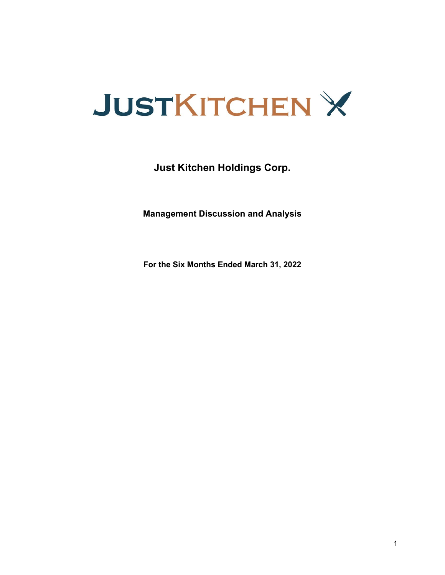

**Just Kitchen Holdings Corp.**

**Management Discussion and Analysis**

**For the Six Months Ended March 31, 2022**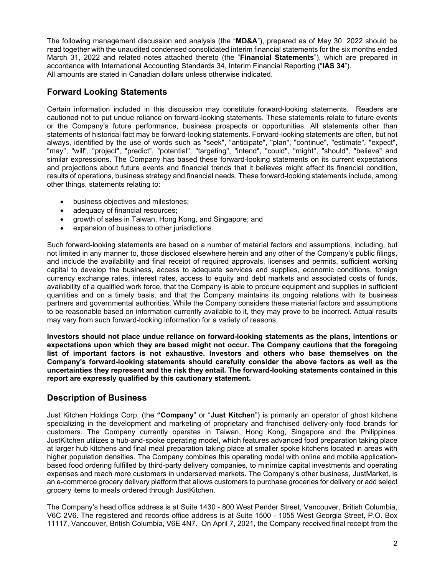The following management discussion and analysis (the "**MD&A**"), prepared as of May 30, 2022 should be read together with the unaudited condensed consolidated interim financial statements for the six months ended March 31, 2022 and related notes attached thereto (the "**Financial Statements**"), which are prepared in accordance with International Accounting Standards 34, Interim Financial Reporting ("**IAS 34**"). All amounts are stated in Canadian dollars unless otherwise indicated.

# **Forward Looking Statements**

Certain information included in this discussion may constitute forward-looking statements. Readers are cautioned not to put undue reliance on forward-looking statements. These statements relate to future events or the Company's future performance, business prospects or opportunities. All statements other than statements of historical fact may be forward-looking statements. Forward-looking statements are often, but not always, identified by the use of words such as "seek", "anticipate", "plan", "continue", "estimate", "expect", "may", "will", "project", "predict", "potential", "targeting", "intend", "could", "might", "should", "believe" and similar expressions. The Company has based these forward-looking statements on its current expectations and projections about future events and financial trends that it believes might affect its financial condition, results of operations, business strategy and financial needs. These forward-looking statements include, among other things, statements relating to:

- business objectives and milestones;
- adequacy of financial resources;
- growth of sales in Taiwan, Hong Kong, and Singapore; and
- expansion of business to other jurisdictions.

Such forward-looking statements are based on a number of material factors and assumptions, including, but not limited in any manner to, those disclosed elsewhere herein and any other of the Company's public filings, and include the availability and final receipt of required approvals, licenses and permits, sufficient working capital to develop the business, access to adequate services and supplies, economic conditions, foreign currency exchange rates, interest rates, access to equity and debt markets and associated costs of funds, availability of a qualified work force, that the Company is able to procure equipment and supplies in sufficient quantities and on a timely basis, and that the Company maintains its ongoing relations with its business partners and governmental authorities. While the Company considers these material factors and assumptions to be reasonable based on information currently available to it, they may prove to be incorrect. Actual results may vary from such forward-looking information for a variety of reasons.

**Investors should not place undue reliance on forward-looking statements as the plans, intentions or expectations upon which they are based might not occur. The Company cautions that the foregoing list of important factors is not exhaustive. Investors and others who base themselves on the Company's forward-looking statements should carefully consider the above factors as well as the uncertainties they represent and the risk they entail. The forward-looking statements contained in this report are expressly qualified by this cautionary statement.**

# **Description of Business**

Just Kitchen Holdings Corp. (the **"Company**" or "**Just Kitchen**") is primarily an operator of ghost kitchens specializing in the development and marketing of proprietary and franchised delivery-only food brands for customers. The Company currently operates in Taiwan, Hong Kong, Singapore and the Philippines. JustKitchen utilizes a hub-and-spoke operating model, which features advanced food preparation taking place at larger hub kitchens and final meal preparation taking place at smaller spoke kitchens located in areas with higher population densities. The Company combines this operating model with online and mobile applicationbased food ordering fulfilled by third-party delivery companies, to minimize capital investments and operating expenses and reach more customers in underserved markets. The Company's other business, JustMarket, is an e-commerce grocery delivery platform that allows customers to purchase groceries for delivery or add select grocery items to meals ordered through JustKitchen.

The Company's head office address is at Suite 1430 - 800 West Pender Street, Vancouver, British Columbia, V6C 2V6. The registered and records office address is at Suite 1500 - 1055 West Georgia Street, P.O. Box 11117, Vancouver, British Columbia, V6E 4N7. On April 7, 2021, the Company received final receipt from the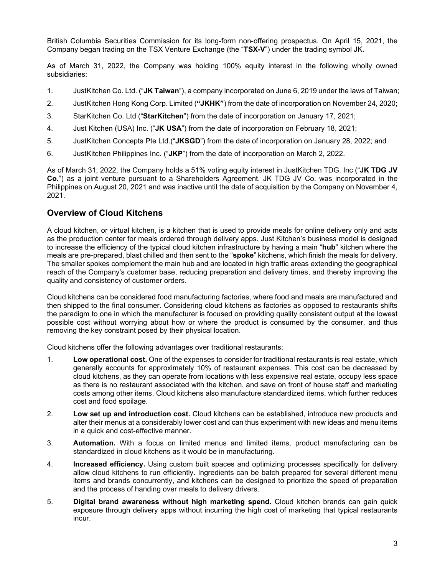British Columbia Securities Commission for its long-form non-offering prospectus. On April 15, 2021, the Company began trading on the TSX Venture Exchange (the "**TSX-V**") under the trading symbol JK.

As of March 31, 2022, the Company was holding 100% equity interest in the following wholly owned subsidiaries:

- 1. JustKitchen Co. Ltd. ("**JK Taiwan**"), a company incorporated on June 6, 2019 under the laws of Taiwan;
- 2. JustKitchen Hong Kong Corp. Limited (**"JKHK"**) from the date of incorporation on November 24, 2020;
- 3. StarKitchen Co. Ltd ("**StarKitchen**") from the date of incorporation on January 17, 2021;
- 4. Just Kitchen (USA) Inc. ("**JK USA**") from the date of incorporation on February 18, 2021;
- 5. JustKitchen Concepts Pte Ltd.("**JKSGD**") from the date of incorporation on January 28, 2022; and
- 6. JustKitchen Philippines Inc. ("**JKP**") from the date of incorporation on March 2, 2022.

As of March 31, 2022, the Company holds a 51% voting equity interest in JustKitchen TDG. Inc ("**JK TDG JV Co.**") as a joint venture pursuant to a Shareholders Agreement. JK TDG JV Co. was incorporated in the Philippines on August 20, 2021 and was inactive until the date of acquisition by the Company on November 4, 2021.

## **Overview of Cloud Kitchens**

A cloud kitchen, or virtual kitchen, is a kitchen that is used to provide meals for online delivery only and acts as the production center for meals ordered through delivery apps. Just Kitchen's business model is designed to increase the efficiency of the typical cloud kitchen infrastructure by having a main "**hub**" kitchen where the meals are pre-prepared, blast chilled and then sent to the "**spoke**" kitchens, which finish the meals for delivery. The smaller spokes complement the main hub and are located in high traffic areas extending the geographical reach of the Company's customer base, reducing preparation and delivery times, and thereby improving the quality and consistency of customer orders.

Cloud kitchens can be considered food manufacturing factories, where food and meals are manufactured and then shipped to the final consumer. Considering cloud kitchens as factories as opposed to restaurants shifts the paradigm to one in which the manufacturer is focused on providing quality consistent output at the lowest possible cost without worrying about how or where the product is consumed by the consumer, and thus removing the key constraint posed by their physical location.

Cloud kitchens offer the following advantages over traditional restaurants:

- 1. **Low operational cost.** One of the expenses to consider for traditional restaurants is real estate, which generally accounts for approximately 10% of restaurant expenses. This cost can be decreased by cloud kitchens, as they can operate from locations with less expensive real estate, occupy less space as there is no restaurant associated with the kitchen, and save on front of house staff and marketing costs among other items. Cloud kitchens also manufacture standardized items, which further reduces cost and food spoilage.
- 2. **Low set up and introduction cost.** Cloud kitchens can be established, introduce new products and alter their menus at a considerably lower cost and can thus experiment with new ideas and menu items in a quick and cost-effective manner.
- 3. **Automation.** With a focus on limited menus and limited items, product manufacturing can be standardized in cloud kitchens as it would be in manufacturing.
- 4. **Increased efficiency.** Using custom built spaces and optimizing processes specifically for delivery allow cloud kitchens to run efficiently. Ingredients can be batch prepared for several different menu items and brands concurrently, and kitchens can be designed to prioritize the speed of preparation and the process of handing over meals to delivery drivers.
- 5. **Digital brand awareness without high marketing spend.** Cloud kitchen brands can gain quick exposure through delivery apps without incurring the high cost of marketing that typical restaurants incur.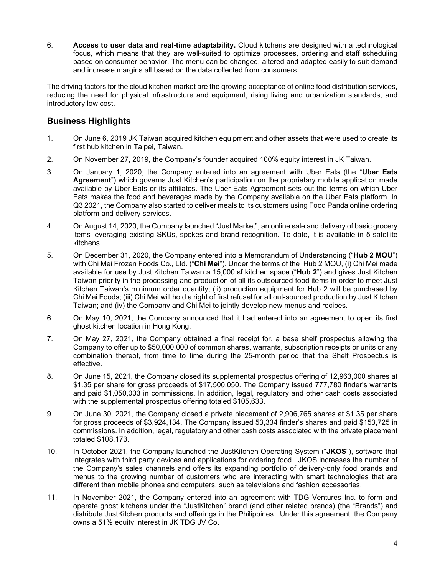6. **Access to user data and real-time adaptability.** Cloud kitchens are designed with a technological focus, which means that they are well-suited to optimize processes, ordering and staff scheduling based on consumer behavior. The menu can be changed, altered and adapted easily to suit demand and increase margins all based on the data collected from consumers.

The driving factors for the cloud kitchen market are the growing acceptance of online food distribution services, reducing the need for physical infrastructure and equipment, rising living and urbanization standards, and introductory low cost.

# **Business Highlights**

- 1. On June 6, 2019 JK Taiwan acquired kitchen equipment and other assets that were used to create its first hub kitchen in Taipei, Taiwan.
- 2. On November 27, 2019, the Company's founder acquired 100% equity interest in JK Taiwan.
- 3. On January 1, 2020, the Company entered into an agreement with Uber Eats (the "**Uber Eats Agreement**") which governs Just Kitchen's participation on the proprietary mobile application made available by Uber Eats or its affiliates. The Uber Eats Agreement sets out the terms on which Uber Eats makes the food and beverages made by the Company available on the Uber Eats platform. In Q3 2021, the Company also started to deliver meals to its customers using Food Panda online ordering platform and delivery services.
- 4. On August 14, 2020, the Company launched "Just Market", an online sale and delivery of basic grocery items leveraging existing SKUs, spokes and brand recognition. To date, it is available in 5 satellite kitchens.
- 5. On December 31, 2020, the Company entered into a Memorandum of Understanding ("**Hub 2 MOU**") with Chi Mei Frozen Foods Co., Ltd. ("**Chi Mei**"). Under the terms of the Hub 2 MOU, (i) Chi Mei made available for use by Just Kitchen Taiwan a 15,000 sf kitchen space ("**Hub 2**") and gives Just Kitchen Taiwan priority in the processing and production of all its outsourced food items in order to meet Just Kitchen Taiwan's minimum order quantity; (ii) production equipment for Hub 2 will be purchased by Chi Mei Foods; (iii) Chi Mei will hold a right of first refusal for all out-sourced production by Just Kitchen Taiwan; and (iv) the Company and Chi Mei to jointly develop new menus and recipes.
- 6. On May 10, 2021, the Company announced that it had entered into an agreement to open its first ghost kitchen location in Hong Kong.
- 7. On May 27, 2021, the Company obtained a final receipt for, a base shelf prospectus allowing the Company to offer up to \$50,000,000 of common shares, warrants, subscription receipts or units or any combination thereof, from time to time during the 25-month period that the Shelf Prospectus is effective.
- 8. On June 15, 2021, the Company closed its supplemental prospectus offering of 12,963,000 shares at \$1.35 per share for gross proceeds of \$17,500,050. The Company issued 777,780 finder's warrants and paid \$1,050,003 in commissions. In addition, legal, regulatory and other cash costs associated with the supplemental prospectus offering totaled \$105,633.
- 9. On June 30, 2021, the Company closed a private placement of 2,906,765 shares at \$1.35 per share for gross proceeds of \$3,924,134. The Company issued 53,334 finder's shares and paid \$153,725 in commissions. In addition, legal, regulatory and other cash costs associated with the private placement totaled \$108,173.
- 10. In October 2021, the Company launched the JustKitchen Operating System ("**JKOS**"), software that integrates with third party devices and applications for ordering food. JKOS increases the number of the Company's sales channels and offers its expanding portfolio of delivery-only food brands and menus to the growing number of customers who are interacting with smart technologies that are different than mobile phones and computers, such as televisions and fashion accessories.
- 11. In November 2021, the Company entered into an agreement with TDG Ventures Inc. to form and operate ghost kitchens under the "JustKitchen" brand (and other related brands) (the "Brands") and distribute JustKitchen products and offerings in the Philippines. Under this agreement, the Company owns a 51% equity interest in JK TDG JV Co.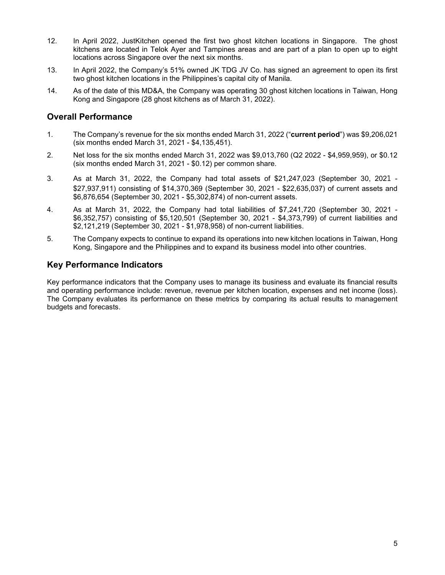- 12. In April 2022, JustKitchen opened the first two ghost kitchen locations in Singapore. The ghost kitchens are located in Telok Ayer and Tampines areas and are part of a plan to open up to eight locations across Singapore over the next six months.
- 13. In April 2022, the Company's 51% owned JK TDG JV Co. has signed an agreement to open its first two ghost kitchen locations in the Philippines's capital city of Manila.
- 14. As of the date of this MD&A, the Company was operating 30 ghost kitchen locations in Taiwan, Hong Kong and Singapore (28 ghost kitchens as of March 31, 2022).

# **Overall Performance**

- 1. The Company's revenue for the six months ended March 31, 2022 ("**current period**") was \$9,206,021 (six months ended March 31, 2021 - \$4,135,451).
- 2. Net loss for the six months ended March 31, 2022 was \$9,013,760 (Q2 2022 \$4,959,959), or \$0.12 (six months ended March 31, 2021 - \$0.12) per common share.
- 3. As at March 31, 2022, the Company had total assets of \$21,247,023 (September 30, 2021 \$27,937,911) consisting of \$14,370,369 (September 30, 2021 - \$22,635,037) of current assets and \$6,876,654 (September 30, 2021 - \$5,302,874) of non-current assets.
- 4. As at March 31, 2022, the Company had total liabilities of \$7,241,720 (September 30, 2021 \$6,352,757) consisting of \$5,120,501 (September 30, 2021 - \$4,373,799) of current liabilities and \$2,121,219 (September 30, 2021 - \$1,978,958) of non-current liabilities.
- 5. The Company expects to continue to expand its operations into new kitchen locations in Taiwan, Hong Kong, Singapore and the Philippines and to expand its business model into other countries.

## **Key Performance Indicators**

Key performance indicators that the Company uses to manage its business and evaluate its financial results and operating performance include: revenue, revenue per kitchen location, expenses and net income (loss). The Company evaluates its performance on these metrics by comparing its actual results to management budgets and forecasts.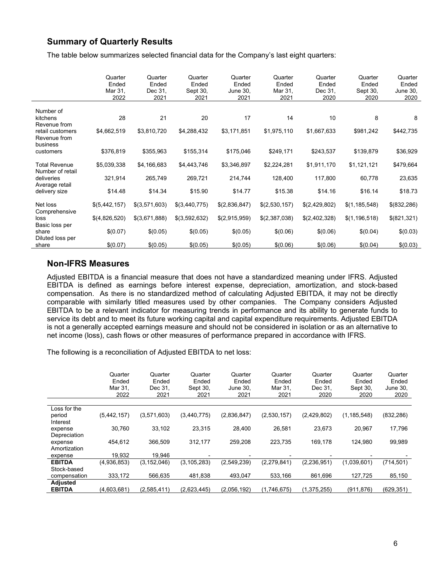# **Summary of Quarterly Results**

The table below summarizes selected financial data for the Company's last eight quarters:

|                                              | Quarter<br>Ended<br>Mar 31,<br>2022 | Quarter<br>Ended<br>Dec 31,<br>2021 | Quarter<br>Ended<br>Sept 30,<br>2021 | Quarter<br>Ended<br>June 30,<br>2021 | Quarter<br>Ended<br>Mar 31,<br>2021 | Quarter<br>Ended<br>Dec 31,<br>2020 | Quarter<br>Ended<br>Sept 30,<br>2020 | Quarter<br>Ended<br>June 30,<br>2020 |
|----------------------------------------------|-------------------------------------|-------------------------------------|--------------------------------------|--------------------------------------|-------------------------------------|-------------------------------------|--------------------------------------|--------------------------------------|
| Number of<br>kitchens<br>Revenue from        | 28                                  | 21                                  | 20                                   | 17                                   | 14                                  | 10                                  | 8                                    | 8                                    |
| retail customers<br>Revenue from<br>business | \$4,662,519                         | \$3,810,720                         | \$4,288,432                          | \$3,171,851                          | \$1,975,110                         | \$1,667,633                         | \$981,242                            | \$442,735                            |
| customers                                    | \$376,819                           | \$355,963                           | \$155,314                            | \$175,046                            | \$249,171                           | \$243,537                           | \$139,879                            | \$36,929                             |
| <b>Total Revenue</b><br>Number of retail     | \$5,039,338                         | \$4,166,683                         | \$4,443,746                          | \$3,346,897                          | \$2,224,281                         | \$1,911,170                         | \$1,121,121                          | \$479,664                            |
| deliveries<br>Average retail                 | 321,914                             | 265,749                             | 269,721                              | 214,744                              | 128,400                             | 117,800                             | 60,778                               | 23,635                               |
| delivery size                                | \$14.48                             | \$14.34                             | \$15.90                              | \$14.77                              | \$15.38                             | \$14.16                             | \$16.14                              | \$18.73                              |
| Net loss<br>Comprehensive                    | \$(5,442,157)                       | \$(3,571,603)                       | \$(3,440,775)                        | \$(2,836,847)                        | \$(2,530,157)                       | \$(2,429,802)                       | \$(1, 185, 548)                      | \$(832,286)                          |
| loss                                         | \$(4,826,520)                       | \$(3,671,888)                       | \$(3,592,632)                        | \$(2,915,959)                        | \$(2,387,038)                       | \$(2,402,328)                       | \$(1, 196, 518)                      | \$(821,321)                          |
| Basic loss per<br>share<br>Diluted loss per  | \$(0.07)                            | \$(0.05)                            | \$(0.05)                             | \$(0.05)                             | \$(0.06)                            | \$(0.06)                            | \$(0.04)                             | \$(0.03)                             |
| share                                        | \$(0.07)                            | \$(0.05)                            | \$(0.05)                             | \$(0.05)                             | \$(0.06)                            | \$(0.06)                            | \$(0.04)                             | \$(0.03)                             |

## **Non-IFRS Measures**

Adjusted EBITDA is a financial measure that does not have a standardized meaning under IFRS. Adjusted EBITDA is defined as earnings before interest expense, depreciation, amortization, and stock-based compensation. As there is no standardized method of calculating Adjusted EBITDA, it may not be directly comparable with similarly titled measures used by other companies. The Company considers Adjusted EBITDA to be a relevant indicator for measuring trends in performance and its ability to generate funds to service its debt and to meet its future working capital and capital expenditure requirements. Adjusted EBITDA is not a generally accepted earnings measure and should not be considered in isolation or as an alternative to net income (loss), cash flows or other measures of performance prepared in accordance with IFRS.

The following is a reconciliation of Adjusted EBITDA to net loss:

|               | Quarter<br>Ended<br>Mar 31.<br>2022 | Quarter<br>Ended<br>Dec 31.<br>2021 | Quarter<br>Ended<br>Sept 30,<br>2021 | Quarter<br>Ended<br>June 30,<br>2021 | Quarter<br>Ended<br>Mar 31.<br>2021 | Quarter<br>Ended<br>Dec 31,<br>2020 | Quarter<br>Ended<br>Sept 30,<br>2020 | Quarter<br>Ended<br>June 30.<br>2020 |
|---------------|-------------------------------------|-------------------------------------|--------------------------------------|--------------------------------------|-------------------------------------|-------------------------------------|--------------------------------------|--------------------------------------|
|               |                                     |                                     |                                      |                                      |                                     |                                     |                                      |                                      |
| Loss for the  |                                     |                                     |                                      |                                      |                                     |                                     |                                      |                                      |
| period        | (5,442,157)                         | (3,571,603)                         | (3,440,775)                          | (2,836,847)                          | (2,530,157)                         | (2,429,802)                         | (1, 185, 548)                        | (832, 286)                           |
| Interest      |                                     |                                     |                                      |                                      |                                     |                                     |                                      |                                      |
| expense       | 30,760                              | 33,102                              | 23,315                               | 28.400                               | 26.581                              | 23,673                              | 20,967                               | 17,796                               |
| Depreciation  |                                     |                                     |                                      |                                      |                                     |                                     |                                      |                                      |
| expense       | 454,612                             | 366,509                             | 312.177                              | 259,208                              | 223,735                             | 169,178                             | 124,980                              | 99,989                               |
| Amortization  |                                     |                                     |                                      |                                      |                                     |                                     |                                      |                                      |
| expense       | 19,932                              | 19,946                              |                                      |                                      |                                     |                                     |                                      |                                      |
| <b>EBITDA</b> | (4,936,853)                         | (3, 152, 046)                       | (3, 105, 283)                        | (2,549,239)                          | (2,279,841)                         | (2, 236, 951)                       | (1,039,601)                          | (714, 501)                           |
| Stock-based   |                                     |                                     |                                      |                                      |                                     |                                     |                                      |                                      |
| compensation  | 333,172                             | 566,635                             | 481,838                              | 493,047                              | 533,166                             | 861.696                             | 127,725                              | 85,150                               |
| Adjusted      |                                     |                                     |                                      |                                      |                                     |                                     |                                      |                                      |
| <b>EBITDA</b> | (4,603,681)                         | (2,585,411)                         | (2.623.445)                          | (2.056.192)                          | (1.746.675)                         | (1,375,255)                         | (911, 876)                           | (629, 351)                           |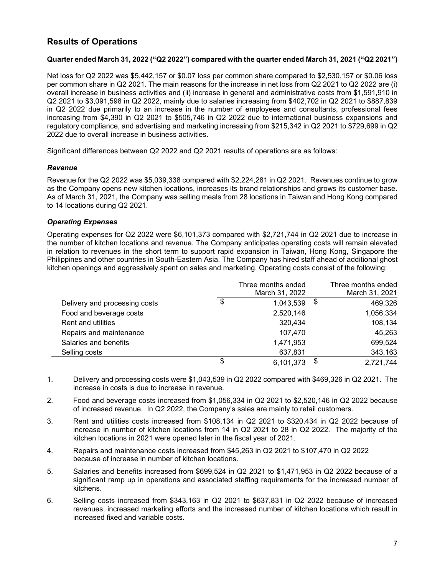# **Results of Operations**

#### **Quarter ended March 31, 2022 ("Q2 2022") compared with the quarter ended March 31, 2021 ("Q2 2021")**

Net loss for Q2 2022 was \$5,442,157 or \$0.07 loss per common share compared to \$2,530,157 or \$0.06 loss per common share in Q2 2021. The main reasons for the increase in net loss from Q2 2021 to Q2 2022 are (i) overall increase in business activities and (ii) increase in general and administrative costs from \$1,591,910 in Q2 2021 to \$3,091,598 in Q2 2022, mainly due to salaries increasing from \$402,702 in Q2 2021 to \$887,839 in Q2 2022 due primarily to an increase in the number of employees and consultants, professional fees increasing from \$4,390 in Q2 2021 to \$505,746 in Q2 2022 due to international business expansions and regulatory compliance, and advertising and marketing increasing from \$215,342 in Q2 2021 to \$729,699 in Q2 2022 due to overall increase in business activities.

Significant differences between Q2 2022 and Q2 2021 results of operations are as follows:

#### *Revenue*

Revenue for the Q2 2022 was \$5,039,338 compared with \$2,224,281 in Q2 2021. Revenues continue to grow as the Company opens new kitchen locations, increases its brand relationships and grows its customer base. As of March 31, 2021, the Company was selling meals from 28 locations in Taiwan and Hong Kong compared to 14 locations during Q2 2021.

#### *Operating Expenses*

Operating expenses for Q2 2022 were \$6,101,373 compared with \$2,721,744 in Q2 2021 due to increase in the number of kitchen locations and revenue. The Company anticipates operating costs will remain elevated in relation to revenues in the short term to support rapid expansion in Taiwan, Hong Kong, Singapore the Philippines and other countries in South-Eastern Asia. The Company has hired staff ahead of additional ghost kitchen openings and aggressively spent on sales and marketing. Operating costs consist of the following:

|                               | Three months ended<br>March 31, 2022 | Three months ended<br>March 31, 2021 |
|-------------------------------|--------------------------------------|--------------------------------------|
| Delivery and processing costs | \$<br>1,043,539                      | \$<br>469,326                        |
| Food and beverage costs       | 2,520,146                            | 1,056,334                            |
| <b>Rent and utilities</b>     | 320,434                              | 108,134                              |
| Repairs and maintenance       | 107,470                              | 45,263                               |
| Salaries and benefits         | 1,471,953                            | 699,524                              |
| Selling costs                 | 637,831                              | 343,163                              |
|                               | \$<br>6,101,373                      | \$<br>2,721,744                      |

- 1. Delivery and processing costs were \$1,043,539 in Q2 2022 compared with \$469,326 in Q2 2021. The increase in costs is due to increase in revenue.
- 2. Food and beverage costs increased from \$1,056,334 in Q2 2021 to \$2,520,146 in Q2 2022 because of increased revenue. In Q2 2022, the Company's sales are mainly to retail customers.
- 3. Rent and utilities costs increased from \$108,134 in Q2 2021 to \$320,434 in Q2 2022 because of increase in number of kitchen locations from 14 in Q2 2021 to 28 in Q2 2022. The majority of the kitchen locations in 2021 were opened later in the fiscal year of 2021.
- 4. Repairs and maintenance costs increased from \$45,263 in Q2 2021 to \$107,470 in Q2 2022 because of increase in number of kitchen locations.
- 5. Salaries and benefits increased from \$699,524 in Q2 2021 to \$1,471,953 in Q2 2022 because of a significant ramp up in operations and associated staffing requirements for the increased number of kitchens.
- 6. Selling costs increased from \$343,163 in Q2 2021 to \$637,831 in Q2 2022 because of increased revenues, increased marketing efforts and the increased number of kitchen locations which result in increased fixed and variable costs.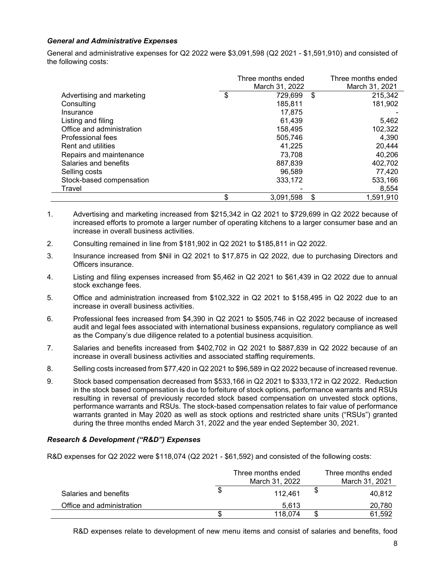#### *General and Administrative Expenses*

General and administrative expenses for Q2 2022 were \$3,091,598 (Q2 2021 - \$1,591,910) and consisted of the following costs:

|                           | Three months ended | Three months ended |
|---------------------------|--------------------|--------------------|
|                           | March 31, 2022     | March 31, 2021     |
| Advertising and marketing | \$<br>729.699      | \$<br>215,342      |
| Consulting                | 185,811            | 181,902            |
| Insurance                 | 17.875             |                    |
| Listing and filing        | 61,439             | 5,462              |
| Office and administration | 158,495            | 102,322            |
| Professional fees         | 505.746            | 4.390              |
| <b>Rent and utilities</b> | 41.225             | 20,444             |
| Repairs and maintenance   | 73,708             | 40,206             |
| Salaries and benefits     | 887.839            | 402,702            |
| Selling costs             | 96.589             | 77,420             |
| Stock-based compensation  | 333,172            | 533,166            |
| Travel                    |                    | 8,554              |
|                           | \$<br>3,091,598    | \$<br>1,591,910    |

- 1. Advertising and marketing increased from \$215,342 in Q2 2021 to \$729,699 in Q2 2022 because of increased efforts to promote a larger number of operating kitchens to a larger consumer base and an increase in overall business activities.
- 2. Consulting remained in line from \$181,902 in Q2 2021 to \$185,811 in Q2 2022.
- 3. Insurance increased from \$Nil in Q2 2021 to \$17,875 in Q2 2022, due to purchasing Directors and Officers insurance.
- 4. Listing and filing expenses increased from \$5,462 in Q2 2021 to \$61,439 in Q2 2022 due to annual stock exchange fees.
- 5. Office and administration increased from \$102,322 in Q2 2021 to \$158,495 in Q2 2022 due to an increase in overall business activities.
- 6. Professional fees increased from \$4,390 in Q2 2021 to \$505,746 in Q2 2022 because of increased audit and legal fees associated with international business expansions, regulatory compliance as well as the Company's due diligence related to a potential business acquisition.
- 7. Salaries and benefits increased from \$402,702 in Q2 2021 to \$887,839 in Q2 2022 because of an increase in overall business activities and associated staffing requirements.
- 8. Selling costs increased from \$77,420 in Q2 2021 to \$96,589 in Q2 2022 because of increased revenue.
- 9. Stock based compensation decreased from \$533,166 in Q2 2021 to \$333,172 in Q2 2022. Reduction in the stock based compensation is due to forfeiture of stock options, performance warrants and RSUs resulting in reversal of previously recorded stock based compensation on unvested stock options, performance warrants and RSUs. The stock-based compensation relates to fair value of performance warrants granted in May 2020 as well as stock options and restricted share units ("RSUs") granted during the three months ended March 31, 2022 and the year ended September 30, 2021.

### *Research & Development ("R&D") Expenses*

R&D expenses for Q2 2022 were \$118,074 (Q2 2021 - \$61,592) and consisted of the following costs:

|                           | Three months ended<br>March 31, 2022 |   | Three months ended<br>March 31, 2021 |
|---------------------------|--------------------------------------|---|--------------------------------------|
| Salaries and benefits     | \$<br>112.461                        | Φ | 40.812                               |
| Office and administration | 5.613                                |   | 20,780                               |
|                           | 118.074                              |   | 61.592                               |

R&D expenses relate to development of new menu items and consist of salaries and benefits, food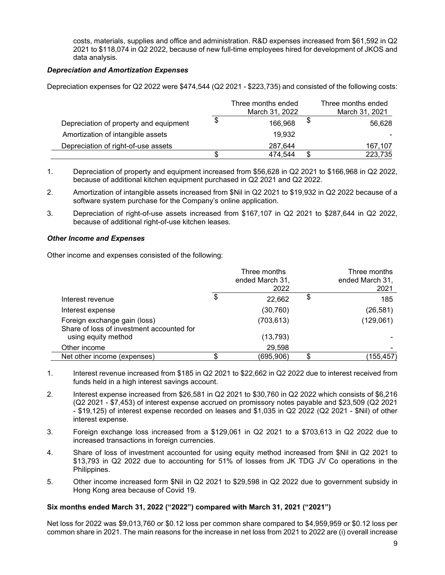costs, materials, supplies and office and administration. R&D expenses increased from \$61,592 in Q2 2021 to \$118,074 in Q2 2022, because of new full-time employees hired for development of JKOS and data analysis.

### *Depreciation and Amortization Expenses*

Depreciation expenses for Q2 2022 were \$474,544 (Q2 2021 - \$223,735) and consisted of the following costs:

|                                        | Three months ended<br>March 31, 2022 | Three months ended<br>March 31, 2021 |
|----------------------------------------|--------------------------------------|--------------------------------------|
| Depreciation of property and equipment | \$<br>166,968                        | \$<br>56.628                         |
| Amortization of intangible assets      | 19,932                               |                                      |
| Depreciation of right-of-use assets    | 287,644                              | 167,107                              |
|                                        | 474.544                              | 223,735                              |

- 1. Depreciation of property and equipment increased from \$56,628 in Q2 2021 to \$166,968 in Q2 2022, because of additional kitchen equipment purchased in Q2 2021 and Q2 2022.
- 2. Amortization of intangible assets increased from \$Nil in Q2 2021 to \$19,932 in Q2 2022 because of a software system purchase for the Company's online application.
- 3. Depreciation of right-of-use assets increased from \$167,107 in Q2 2021 to \$287,644 in Q2 2022, because of additional right-of-use kitchen leases.

#### *Other Income and Expenses*

Other income and expenses consisted of the following:

|                                                                           | Three months<br>ended March 31,<br>2022 | Three months<br>ended March 31,<br>2021 |
|---------------------------------------------------------------------------|-----------------------------------------|-----------------------------------------|
| Interest revenue                                                          | \$<br>22,662                            | \$<br>185                               |
| Interest expense                                                          | (30, 760)                               | (26, 581)                               |
| Foreign exchange gain (loss)<br>Share of loss of investment accounted for | (703, 613)                              | (129,061)                               |
| using equity method                                                       | (13, 793)                               |                                         |
| Other income                                                              | 29,598                                  |                                         |
| Net other income (expenses)                                               | (695,906)                               | (155,457)                               |

- 1. Interest revenue increased from \$185 in Q2 2021 to \$22,662 in Q2 2022 due to interest received from funds held in a high interest savings account.
- 2. Interest expense increased from \$26,581 in Q2 2021 to \$30,760 in Q2 2022 which consists of \$6,216 (Q2 2021 - \$7,453) of interest expense accrued on promissory notes payable and \$23,509 (Q2 2021 - \$19,125) of interest expense recorded on leases and \$1,035 in Q2 2022 (Q2 2021 - \$Nil) of other interest expense.
- 3. Foreign exchange loss increased from a \$129,061 in Q2 2021 to a \$703,613 in Q2 2022 due to increased transactions in foreign currencies.
- 4. Share of loss of investment accounted for using equity method increased from \$Nil in Q2 2021 to \$13,793 in Q2 2022 due to accounting for 51% of losses from JK TDG JV Co operations in the Philippines.
- 5. Other income increased form \$Nil in Q2 2021 to \$29,598 in Q2 2022 due to government subsidy in Hong Kong area because of Covid 19.

### **Six months ended March 31, 2022 ("2022") compared with March 31, 2021 ("2021")**

Net loss for 2022 was \$9,013,760 or \$0.12 loss per common share compared to \$4,959,959 or \$0.12 loss per common share in 2021. The main reasons for the increase in net loss from 2021 to 2022 are (i) overall increase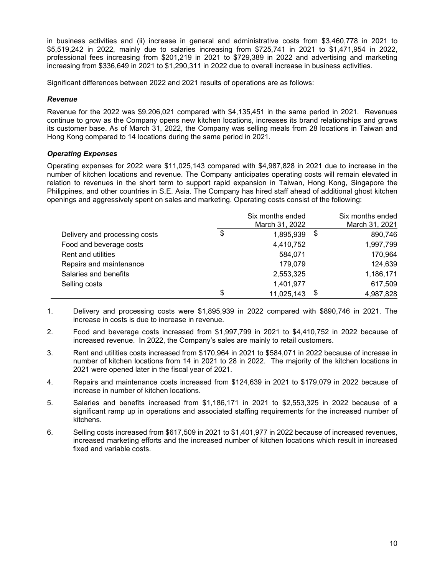in business activities and (ii) increase in general and administrative costs from \$3,460,778 in 2021 to \$5,519,242 in 2022, mainly due to salaries increasing from \$725,741 in 2021 to \$1,471,954 in 2022, professional fees increasing from \$201,219 in 2021 to \$729,389 in 2022 and advertising and marketing increasing from \$336,649 in 2021 to \$1,290,311 in 2022 due to overall increase in business activities.

Significant differences between 2022 and 2021 results of operations are as follows:

#### *Revenue*

Revenue for the 2022 was \$9,206,021 compared with \$4,135,451 in the same period in 2021. Revenues continue to grow as the Company opens new kitchen locations, increases its brand relationships and grows its customer base. As of March 31, 2022, the Company was selling meals from 28 locations in Taiwan and Hong Kong compared to 14 locations during the same period in 2021.

### *Operating Expenses*

Operating expenses for 2022 were \$11,025,143 compared with \$4,987,828 in 2021 due to increase in the number of kitchen locations and revenue. The Company anticipates operating costs will remain elevated in relation to revenues in the short term to support rapid expansion in Taiwan, Hong Kong, Singapore the Philippines, and other countries in S.E. Asia. The Company has hired staff ahead of additional ghost kitchen openings and aggressively spent on sales and marketing. Operating costs consist of the following:

|                               | Six months ended | Six months ended |
|-------------------------------|------------------|------------------|
|                               | March 31, 2022   | March 31, 2021   |
| Delivery and processing costs | \$<br>1,895,939  | \$<br>890,746    |
| Food and beverage costs       | 4,410,752        | 1,997,799        |
| <b>Rent and utilities</b>     | 584,071          | 170,964          |
| Repairs and maintenance       | 179,079          | 124,639          |
| Salaries and benefits         | 2,553,325        | 1,186,171        |
| Selling costs                 | 1,401,977        | 617,509          |
|                               | \$<br>11,025,143 | \$<br>4,987,828  |

- 1. Delivery and processing costs were \$1,895,939 in 2022 compared with \$890,746 in 2021. The increase in costs is due to increase in revenue.
- 2. Food and beverage costs increased from \$1,997,799 in 2021 to \$4,410,752 in 2022 because of increased revenue. In 2022, the Company's sales are mainly to retail customers.
- 3. Rent and utilities costs increased from \$170,964 in 2021 to \$584,071 in 2022 because of increase in number of kitchen locations from 14 in 2021 to 28 in 2022. The majority of the kitchen locations in 2021 were opened later in the fiscal year of 2021.
- 4. Repairs and maintenance costs increased from \$124,639 in 2021 to \$179,079 in 2022 because of increase in number of kitchen locations.
- 5. Salaries and benefits increased from \$1,186,171 in 2021 to \$2,553,325 in 2022 because of a significant ramp up in operations and associated staffing requirements for the increased number of kitchens.
- 6. Selling costs increased from \$617,509 in 2021 to \$1,401,977 in 2022 because of increased revenues, increased marketing efforts and the increased number of kitchen locations which result in increased fixed and variable costs.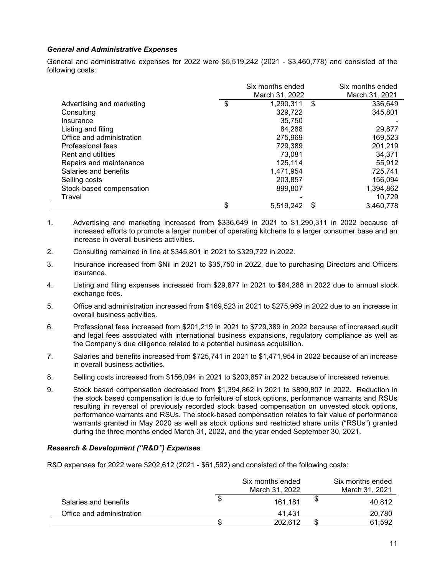#### *General and Administrative Expenses*

 $\overline{\phantom{0}}$ 

General and administrative expenses for 2022 were \$5,519,242 (2021 - \$3,460,778) and consisted of the following costs:

|                           | Six months ended | Six months ended |
|---------------------------|------------------|------------------|
|                           | March 31, 2022   | March 31, 2021   |
| Advertising and marketing | \$<br>1,290,311  | \$<br>336.649    |
| Consulting                | 329,722          | 345,801          |
| Insurance                 | 35,750           |                  |
| Listing and filing        | 84,288           | 29,877           |
| Office and administration | 275,969          | 169.523          |
| Professional fees         | 729.389          | 201,219          |
| <b>Rent and utilities</b> | 73.081           | 34,371           |
| Repairs and maintenance   | 125,114          | 55,912           |
| Salaries and benefits     | 1,471,954        | 725,741          |
| Selling costs             | 203,857          | 156,094          |
| Stock-based compensation  | 899,807          | 1,394,862        |
| Travel                    |                  | 10,729           |
|                           | \$<br>5,519,242  | \$<br>3,460,778  |

- 1. Advertising and marketing increased from \$336,649 in 2021 to \$1,290,311 in 2022 because of increased efforts to promote a larger number of operating kitchens to a larger consumer base and an increase in overall business activities.
- 2. Consulting remained in line at \$345,801 in 2021 to \$329,722 in 2022.
- 3. Insurance increased from \$Nil in 2021 to \$35,750 in 2022, due to purchasing Directors and Officers insurance.
- 4. Listing and filing expenses increased from \$29,877 in 2021 to \$84,288 in 2022 due to annual stock exchange fees.
- 5. Office and administration increased from \$169,523 in 2021 to \$275,969 in 2022 due to an increase in overall business activities.
- 6. Professional fees increased from \$201,219 in 2021 to \$729,389 in 2022 because of increased audit and legal fees associated with international business expansions, regulatory compliance as well as the Company's due diligence related to a potential business acquisition.
- 7. Salaries and benefits increased from \$725,741 in 2021 to \$1,471,954 in 2022 because of an increase in overall business activities.
- 8. Selling costs increased from \$156,094 in 2021 to \$203,857 in 2022 because of increased revenue.
- 9. Stock based compensation decreased from \$1,394,862 in 2021 to \$899,807 in 2022. Reduction in the stock based compensation is due to forfeiture of stock options, performance warrants and RSUs resulting in reversal of previously recorded stock based compensation on unvested stock options, performance warrants and RSUs. The stock-based compensation relates to fair value of performance warrants granted in May 2020 as well as stock options and restricted share units ("RSUs") granted during the three months ended March 31, 2022, and the year ended September 30, 2021.

### *Research & Development ("R&D") Expenses*

R&D expenses for 2022 were \$202,612 (2021 - \$61,592) and consisted of the following costs:

|                           | Six months ended<br>March 31, 2022 | Six months ended<br>March 31, 2021 |
|---------------------------|------------------------------------|------------------------------------|
| Salaries and benefits     | \$<br>161.181                      | 40.812                             |
| Office and administration | 41.431                             | 20,780                             |
|                           | 202.612                            | 61.592                             |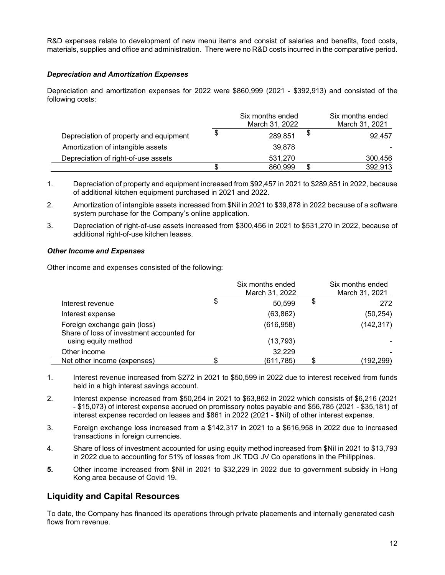R&D expenses relate to development of new menu items and consist of salaries and benefits, food costs, materials, supplies and office and administration. There were no R&D costs incurred in the comparative period.

### *Depreciation and Amortization Expenses*

Depreciation and amortization expenses for 2022 were \$860,999 (2021 - \$392,913) and consisted of the following costs:

|                                        |   | Six months ended<br>March 31, 2022 |    | Six months ended<br>March 31, 2021 |
|----------------------------------------|---|------------------------------------|----|------------------------------------|
| Depreciation of property and equipment | S | 289,851                            | P. | 92.457                             |
| Amortization of intangible assets      |   | 39,878                             |    |                                    |
| Depreciation of right-of-use assets    |   | 531,270                            |    | 300,456                            |
|                                        |   | 860,999                            | S  | 392,913                            |

1. Depreciation of property and equipment increased from \$92,457 in 2021 to \$289,851 in 2022, because of additional kitchen equipment purchased in 2021 and 2022.

2. Amortization of intangible assets increased from \$Nil in 2021 to \$39,878 in 2022 because of a software system purchase for the Company's online application.

3. Depreciation of right-of-use assets increased from \$300,456 in 2021 to \$531,270 in 2022, because of additional right-of-use kitchen leases.

### *Other Income and Expenses*

Other income and expenses consisted of the following:

|                                                                           | Six months ended<br>March 31, 2022 | Six months ended<br>March 31, 2021 |
|---------------------------------------------------------------------------|------------------------------------|------------------------------------|
| Interest revenue                                                          | \$<br>50,599                       | \$<br>272                          |
| Interest expense                                                          | (63, 862)                          | (50, 254)                          |
| Foreign exchange gain (loss)<br>Share of loss of investment accounted for | (616, 958)                         | (142, 317)                         |
| using equity method                                                       | (13, 793)                          |                                    |
| Other income                                                              | 32,229                             |                                    |
| Net other income (expenses)                                               | (611,785)                          | (192,299)                          |

- 1. Interest revenue increased from \$272 in 2021 to \$50,599 in 2022 due to interest received from funds held in a high interest savings account.
- 2. Interest expense increased from \$50,254 in 2021 to \$63,862 in 2022 which consists of \$6,216 (2021 - \$15,073) of interest expense accrued on promissory notes payable and \$56,785 (2021 - \$35,181) of interest expense recorded on leases and \$861 in 2022 (2021 - \$Nil) of other interest expense.
- 3. Foreign exchange loss increased from a \$142,317 in 2021 to a \$616,958 in 2022 due to increased transactions in foreign currencies.
- 4. Share of loss of investment accounted for using equity method increased from \$Nil in 2021 to \$13,793 in 2022 due to accounting for 51% of losses from JK TDG JV Co operations in the Philippines.
- **5.** Other income increased from \$Nil in 2021 to \$32,229 in 2022 due to government subsidy in Hong Kong area because of Covid 19.

# **Liquidity and Capital Resources**

To date, the Company has financed its operations through private placements and internally generated cash flows from revenue.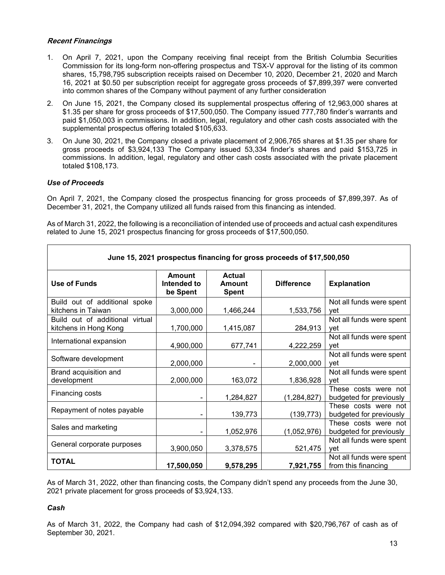#### **Recent Financings**

- 1. On April 7, 2021, upon the Company receiving final receipt from the British Columbia Securities Commission for its long-form non-offering prospectus and TSX-V approval for the listing of its common shares, 15,798,795 subscription receipts raised on December 10, 2020, December 21, 2020 and March 16, 2021 at \$0.50 per subscription receipt for aggregate gross proceeds of \$7,899,397 were converted into common shares of the Company without payment of any further consideration
- 2. On June 15, 2021, the Company closed its supplemental prospectus offering of 12,963,000 shares at \$1.35 per share for gross proceeds of \$17,500,050. The Company issued 777,780 finder's warrants and paid \$1,050,003 in commissions. In addition, legal, regulatory and other cash costs associated with the supplemental prospectus offering totaled \$105,633.
- 3. On June 30, 2021, the Company closed a private placement of 2,906,765 shares at \$1.35 per share for gross proceeds of \$3,924,133 The Company issued 53,334 finder's shares and paid \$153,725 in commissions. In addition, legal, regulatory and other cash costs associated with the private placement totaled \$108,173.

### *Use of Proceeds*

On April 7, 2021, the Company closed the prospectus financing for gross proceeds of \$7,899,397. As of December 31, 2021, the Company utilized all funds raised from this financing as intended.

As of March 31, 2022, the following is a reconciliation of intended use of proceeds and actual cash expenditures related to June 15, 2021 prospectus financing for gross proceeds of \$17,500,050.

| June 15, 2021 prospectus financing for gross proceeds of \$17,500,050 |                                          |                                         |                   |                                                 |  |
|-----------------------------------------------------------------------|------------------------------------------|-----------------------------------------|-------------------|-------------------------------------------------|--|
| Use of Funds                                                          | <b>Amount</b><br>Intended to<br>be Spent | <b>Actual</b><br>Amount<br><b>Spent</b> | <b>Difference</b> | <b>Explanation</b>                              |  |
| Build out of additional spoke<br>kitchens in Taiwan                   | 3,000,000                                | 1,466,244                               | 1,533,756         | Not all funds were spent<br>vet                 |  |
| Build out of additional virtual<br>kitchens in Hong Kong              | 1,700,000                                | 1,415,087                               | 284,913           | Not all funds were spent<br>vet                 |  |
| International expansion                                               | 4,900,000                                | 677,741                                 | 4,222,259         | Not all funds were spent<br>vet                 |  |
| Software development                                                  | 2,000,000                                |                                         | 2,000,000         | Not all funds were spent<br>vet                 |  |
| Brand acquisition and<br>development                                  | 2,000,000                                | 163,072                                 | 1,836,928         | Not all funds were spent<br>vet                 |  |
| Financing costs                                                       |                                          | 1,284,827                               | (1, 284, 827)     | These costs were not<br>budgeted for previously |  |
| Repayment of notes payable                                            |                                          | 139,773                                 | (139, 773)        | These costs were not<br>budgeted for previously |  |
| Sales and marketing                                                   |                                          | 1,052,976                               | (1,052,976)       | These costs were not<br>budgeted for previously |  |
| General corporate purposes                                            | 3,900,050                                | 3,378,575                               | 521,475           | Not all funds were spent<br>vet                 |  |
| <b>TOTAL</b>                                                          | 17,500,050                               | 9,578,295                               | 7,921,755         | Not all funds were spent<br>from this financing |  |

As of March 31, 2022, other than financing costs, the Company didn't spend any proceeds from the June 30, 2021 private placement for gross proceeds of \$3,924,133.

#### *Cash*

As of March 31, 2022, the Company had cash of \$12,094,392 compared with \$20,796,767 of cash as of September 30, 2021.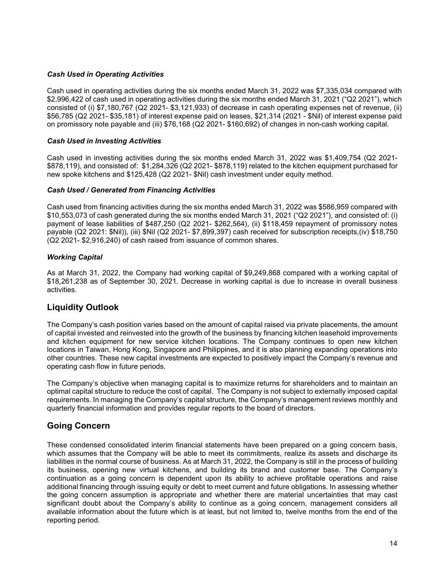### *Cash Used in Operating Activities*

Cash used in operating activities during the six months ended March 31, 2022 was \$7,335,034 compared with \$2,996,422 of cash used in operating activities during the six months ended March 31, 2021 ("Q2 2021"), which consisted of (i) \$7,180,767 (Q2 2021- \$3,121,933) of decrease in cash operating expenses net of revenue, (ii) \$56,785 (Q2 2021- \$35,181) of interest expense paid on leases, \$21,314 (2021 - \$Nil) of interest expense paid on promissory note payable and (iii) \$76,168 (Q2 2021- \$160,692) of changes in non-cash working capital.

#### *Cash Used in Investing Activities*

Cash used in investing activities during the six months ended March 31, 2022 was \$1,409,754 (Q2 2021- \$878,119), and consisted of: \$1,284,326 (Q2 2021- \$878,119) related to the kitchen equipment purchased for new spoke kitchens and \$125,428 (Q2 2021- \$Nil) cash investment under equity method.

#### *Cash Used / Generated from Financing Activities*

Cash used from financing activities during the six months ended March 31, 2022 was \$586,959 compared with \$10,553,073 of cash generated during the six months ended March 31, 2021 ("Q2 2021"), and consisted of: (i) payment of lease liabilities of \$487,250 (Q2 2021- \$262,564), (ii) \$118,459 repayment of promissory notes payable (Q2 2021: \$Nil)), (iii) \$Nil (Q2 2021- \$7,899,397) cash received for subscription receipts,(iv) \$18,750 (Q2 2021- \$2,916,240) of cash raised from issuance of common shares.

#### *Working Capital*

As at March 31, 2022, the Company had working capital of \$9,249,868 compared with a working capital of \$18,261,238 as of September 30, 2021. Decrease in working capital is due to increase in overall business activities.

# **Liquidity Outlook**

The Company's cash position varies based on the amount of capital raised via private placements, the amount of capital invested and reinvested into the growth of the business by financing kitchen leasehold improvements and kitchen equipment for new service kitchen locations. The Company continues to open new kitchen locations in Taiwan, Hong Kong, Singapore and Philippines, and it is also planning expanding operations into other countries. These new capital investments are expected to positively impact the Company's revenue and operating cash flow in future periods.

The Company's objective when managing capital is to maximize returns for shareholders and to maintain an optimal capital structure to reduce the cost of capital. The Company is not subject to externally imposed capital requirements. In managing the Company's capital structure, the Company's management reviews monthly and quarterly financial information and provides regular reports to the board of directors.

# **Going Concern**

These condensed consolidated interim financial statements have been prepared on a going concern basis, which assumes that the Company will be able to meet its commitments, realize its assets and discharge its liabilities in the normal course of business. As at March 31, 2022, the Company is still in the process of building its business, opening new virtual kitchens, and building its brand and customer base. The Company's continuation as a going concern is dependent upon its ability to achieve profitable operations and raise additional financing through issuing equity or debt to meet current and future obligations. In assessing whether the going concern assumption is appropriate and whether there are material uncertainties that may cast significant doubt about the Company's ability to continue as a going concern, management considers all available information about the future which is at least, but not limited to, twelve months from the end of the reporting period.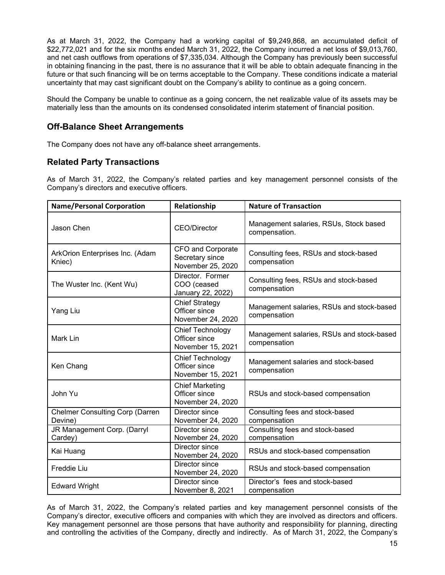As at March 31, 2022, the Company had a working capital of \$9,249,868, an accumulated deficit of \$22,772,021 and for the six months ended March 31, 2022, the Company incurred a net loss of \$9,013,760, and net cash outflows from operations of \$7,335,034. Although the Company has previously been successful in obtaining financing in the past, there is no assurance that it will be able to obtain adequate financing in the future or that such financing will be on terms acceptable to the Company. These conditions indicate a material uncertainty that may cast significant doubt on the Company's ability to continue as a going concern.

Should the Company be unable to continue as a going concern, the net realizable value of its assets may be materially less than the amounts on its condensed consolidated interim statement of financial position.

# **Off-Balance Sheet Arrangements**

The Company does not have any off-balance sheet arrangements.

# **Related Party Transactions**

As of March 31, 2022, the Company's related parties and key management personnel consists of the Company's directors and executive officers.

| <b>Name/Personal Corporation</b>                  | Relationship                                                 | <b>Nature of Transaction</b>                              |  |  |
|---------------------------------------------------|--------------------------------------------------------------|-----------------------------------------------------------|--|--|
| Jason Chen                                        | <b>CEO/Director</b>                                          | Management salaries, RSUs, Stock based<br>compensation.   |  |  |
| ArkOrion Enterprises Inc. (Adam<br>Kniec)         | CFO and Corporate<br>Secretary since<br>November 25, 2020    | Consulting fees, RSUs and stock-based<br>compensation     |  |  |
| The Wuster Inc. (Kent Wu)                         | Director. Former<br>COO (ceased<br>January 22, 2022)         | Consulting fees, RSUs and stock-based<br>compensation     |  |  |
| Yang Liu                                          | <b>Chief Strategy</b><br>Officer since<br>November 24, 2020  | Management salaries, RSUs and stock-based<br>compensation |  |  |
| Mark Lin                                          | Chief Technology<br>Officer since<br>November 15, 2021       | Management salaries, RSUs and stock-based<br>compensation |  |  |
| Ken Chang                                         | Chief Technology<br>Officer since<br>November 15, 2021       | Management salaries and stock-based<br>compensation       |  |  |
| John Yu                                           | <b>Chief Marketing</b><br>Officer since<br>November 24, 2020 | RSUs and stock-based compensation                         |  |  |
| <b>Chelmer Consulting Corp (Darren</b><br>Devine) | Director since<br>November 24, 2020                          | Consulting fees and stock-based<br>compensation           |  |  |
| JR Management Corp. (Darryl<br>Cardey)            | Director since<br>November 24, 2020                          | Consulting fees and stock-based<br>compensation           |  |  |
| Kai Huang                                         | Director since<br>November 24, 2020                          | RSUs and stock-based compensation                         |  |  |
| Freddie Liu                                       | Director since<br>November 24, 2020                          | RSUs and stock-based compensation                         |  |  |
| <b>Edward Wright</b>                              | Director since<br>November 8, 2021                           | Director's fees and stock-based<br>compensation           |  |  |

As of March 31, 2022, the Company's related parties and key management personnel consists of the Company's director, executive officers and companies with which they are involved as directors and officers. Key management personnel are those persons that have authority and responsibility for planning, directing and controlling the activities of the Company, directly and indirectly. As of March 31, 2022, the Company's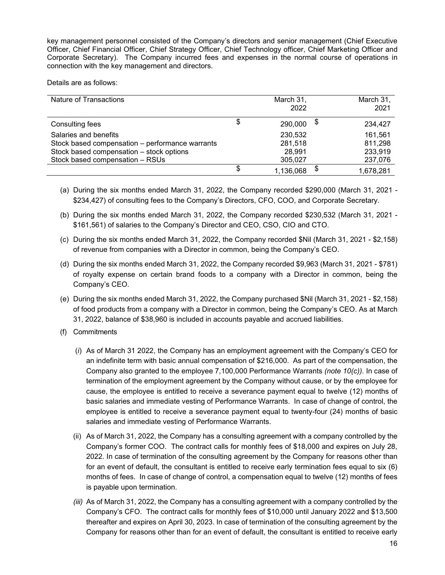key management personnel consisted of the Company's directors and senior management (Chief Executive Officer, Chief Financial Officer, Chief Strategy Officer, Chief Technology officer, Chief Marketing Officer and Corporate Secretary). The Company incurred fees and expenses in the normal course of operations in connection with the key management and directors.

Details are as follows:

| Nature of Transactions                          | March 31,<br>2022 | March 31,<br>2021 |
|-------------------------------------------------|-------------------|-------------------|
| Consulting fees                                 | 290,000           | 234,427           |
| Salaries and benefits                           | 230,532           | 161,561           |
| Stock based compensation - performance warrants | 281,518           | 811,298           |
| Stock based compensation - stock options        | 28,991            | 233,919           |
| Stock based compensation - RSUs                 | 305,027           | 237,076           |
|                                                 | \$<br>1,136,068   | \$<br>1,678,281   |

- (a) During the six months ended March 31, 2022, the Company recorded \$290,000 (March 31, 2021 \$234,427) of consulting fees to the Company's Directors, CFO, COO, and Corporate Secretary.
- (b) During the six months ended March 31, 2022, the Company recorded \$230,532 (March 31, 2021 \$161,561) of salaries to the Company's Director and CEO, CSO, CIO and CTO.
- (c) During the six months ended March 31, 2022, the Company recorded \$Nil (March 31, 2021 \$2,158) of revenue from companies with a Director in common, being the Company's CEO.
- (d) During the six months ended March 31, 2022, the Company recorded \$9,963 (March 31, 2021 \$781) of royalty expense on certain brand foods to a company with a Director in common, being the Company's CEO.
- (e) During the six months ended March 31, 2022, the Company purchased \$Nil (March 31, 2021 \$2,158) of food products from a company with a Director in common, being the Company's CEO. As at March 31, 2022, balance of \$38,960 is included in accounts payable and accrued liabilities.
- (f) Commitments
	- (*i*) As of March 31 2022, the Company has an employment agreement with the Company's CEO for an indefinite term with basic annual compensation of \$216,000. As part of the compensation, the Company also granted to the employee 7,100,000 Performance Warrants *(note 10(c)).* In case of termination of the employment agreement by the Company without cause, or by the employee for cause, the employee is entitled to receive a severance payment equal to twelve (12) months of basic salaries and immediate vesting of Performance Warrants. In case of change of control, the employee is entitled to receive a severance payment equal to twenty-four (24) months of basic salaries and immediate vesting of Performance Warrants.
	- (ii) As of March 31, 2022, the Company has a consulting agreement with a company controlled by the Company's former COO. The contract calls for monthly fees of \$18,000 and expires on July 28, 2022. In case of termination of the consulting agreement by the Company for reasons other than for an event of default, the consultant is entitled to receive early termination fees equal to six (6) months of fees. In case of change of control, a compensation equal to twelve (12) months of fees is payable upon termination.
	- *(iii)* As of March 31, 2022, the Company has a consulting agreement with a company controlled by the Company's CFO. The contract calls for monthly fees of \$10,000 until January 2022 and \$13,500 thereafter and expires on April 30, 2023. In case of termination of the consulting agreement by the Company for reasons other than for an event of default, the consultant is entitled to receive early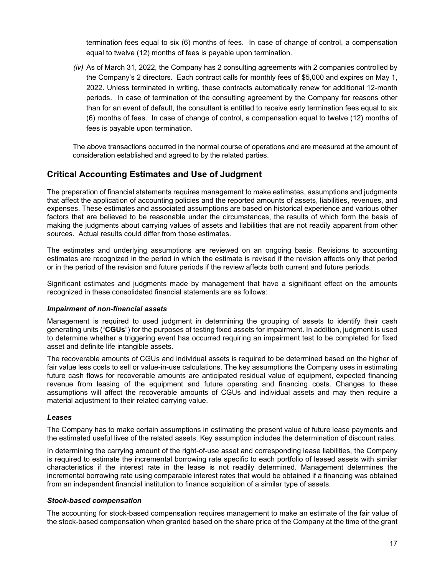termination fees equal to six (6) months of fees. In case of change of control, a compensation equal to twelve (12) months of fees is payable upon termination.

*(iv)* As of March 31, 2022, the Company has 2 consulting agreements with 2 companies controlled by the Company's 2 directors. Each contract calls for monthly fees of \$5,000 and expires on May 1, 2022. Unless terminated in writing, these contracts automatically renew for additional 12-month periods. In case of termination of the consulting agreement by the Company for reasons other than for an event of default, the consultant is entitled to receive early termination fees equal to six (6) months of fees. In case of change of control, a compensation equal to twelve (12) months of fees is payable upon termination.

The above transactions occurred in the normal course of operations and are measured at the amount of consideration established and agreed to by the related parties.

### **Critical Accounting Estimates and Use of Judgment**

The preparation of financial statements requires management to make estimates, assumptions and judgments that affect the application of accounting policies and the reported amounts of assets, liabilities, revenues, and expenses. These estimates and associated assumptions are based on historical experience and various other factors that are believed to be reasonable under the circumstances, the results of which form the basis of making the judgments about carrying values of assets and liabilities that are not readily apparent from other sources. Actual results could differ from those estimates.

The estimates and underlying assumptions are reviewed on an ongoing basis. Revisions to accounting estimates are recognized in the period in which the estimate is revised if the revision affects only that period or in the period of the revision and future periods if the review affects both current and future periods.

Significant estimates and judgments made by management that have a significant effect on the amounts recognized in these consolidated financial statements are as follows:

#### *Impairment of non-financial assets*

Management is required to used judgment in determining the grouping of assets to identify their cash generating units ("**CGUs**") for the purposes of testing fixed assets for impairment. In addition, judgment is used to determine whether a triggering event has occurred requiring an impairment test to be completed for fixed asset and definite life intangible assets.

The recoverable amounts of CGUs and individual assets is required to be determined based on the higher of fair value less costs to sell or value-in-use calculations. The key assumptions the Company uses in estimating future cash flows for recoverable amounts are anticipated residual value of equipment, expected financing revenue from leasing of the equipment and future operating and financing costs. Changes to these assumptions will affect the recoverable amounts of CGUs and individual assets and may then require a material adjustment to their related carrying value.

#### *Leases*

The Company has to make certain assumptions in estimating the present value of future lease payments and the estimated useful lives of the related assets. Key assumption includes the determination of discount rates.

In determining the carrying amount of the right-of-use asset and corresponding lease liabilities, the Company is required to estimate the incremental borrowing rate specific to each portfolio of leased assets with similar characteristics if the interest rate in the lease is not readily determined. Management determines the incremental borrowing rate using comparable interest rates that would be obtained if a financing was obtained from an independent financial institution to finance acquisition of a similar type of assets.

#### *Stock-based compensation*

The accounting for stock-based compensation requires management to make an estimate of the fair value of the stock-based compensation when granted based on the share price of the Company at the time of the grant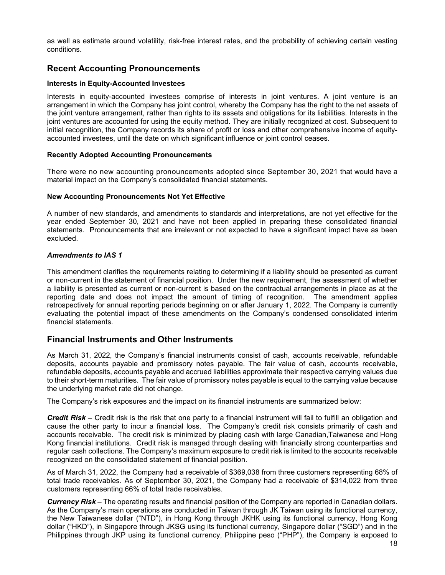as well as estimate around volatility, risk-free interest rates, and the probability of achieving certain vesting conditions.

# **Recent Accounting Pronouncements**

#### **Interests in Equity-Accounted Investees**

Interests in equity-accounted investees comprise of interests in joint ventures. A joint venture is an arrangement in which the Company has joint control, whereby the Company has the right to the net assets of the joint venture arrangement, rather than rights to its assets and obligations for its liabilities. Interests in the joint ventures are accounted for using the equity method. They are initially recognized at cost. Subsequent to initial recognition, the Company records its share of profit or loss and other comprehensive income of equityaccounted investees, until the date on which significant influence or joint control ceases.

#### **Recently Adopted Accounting Pronouncements**

There were no new accounting pronouncements adopted since September 30, 2021 that would have a material impact on the Company's consolidated financial statements.

#### **New Accounting Pronouncements Not Yet Effective**

A number of new standards, and amendments to standards and interpretations, are not yet effective for the year ended September 30, 2021 and have not been applied in preparing these consolidated financial statements. Pronouncements that are irrelevant or not expected to have a significant impact have as been excluded.

#### *Amendments to IAS 1*

This amendment clarifies the requirements relating to determining if a liability should be presented as current or non-current in the statement of financial position. Under the new requirement, the assessment of whether a liability is presented as current or non-current is based on the contractual arrangements in place as at the reporting date and does not impact the amount of timing of recognition. The amendment applies retrospectively for annual reporting periods beginning on or after January 1, 2022. The Company is currently evaluating the potential impact of these amendments on the Company's condensed consolidated interim financial statements.

### **Financial Instruments and Other Instruments**

As March 31, 2022, the Company's financial instruments consist of cash, accounts receivable, refundable deposits, accounts payable and promissory notes payable. The fair value of cash, accounts receivable, refundable deposits, accounts payable and accrued liabilities approximate their respective carrying values due to their short-term maturities. The fair value of promissory notes payable is equal to the carrying value because the underlying market rate did not change.

The Company's risk exposures and the impact on its financial instruments are summarized below:

*Credit Risk* – Credit risk is the risk that one party to a financial instrument will fail to fulfill an obligation and cause the other party to incur a financial loss. The Company's credit risk consists primarily of cash and accounts receivable. The credit risk is minimized by placing cash with large Canadian,Taiwanese and Hong Kong financial institutions. Credit risk is managed through dealing with financially strong counterparties and regular cash collections. The Company's maximum exposure to credit risk is limited to the accounts receivable recognized on the consolidated statement of financial position.

As of March 31, 2022, the Company had a receivable of \$369,038 from three customers representing 68% of total trade receivables. As of September 30, 2021, the Company had a receivable of \$314,022 from three customers representing 66% of total trade receivables.

*Currency Risk* – The operating results and financial position of the Company are reported in Canadian dollars. As the Company's main operations are conducted in Taiwan through JK Taiwan using its functional currency, the New Taiwanese dollar ("NTD"), in Hong Kong through JKHK using its functional currency, Hong Kong dollar ("HKD"), in Singapore through JKSG using its functional currency, Singapore dollar ("SGD") and in the Philippines through JKP using its functional currency, Philippine peso ("PHP"), the Company is exposed to